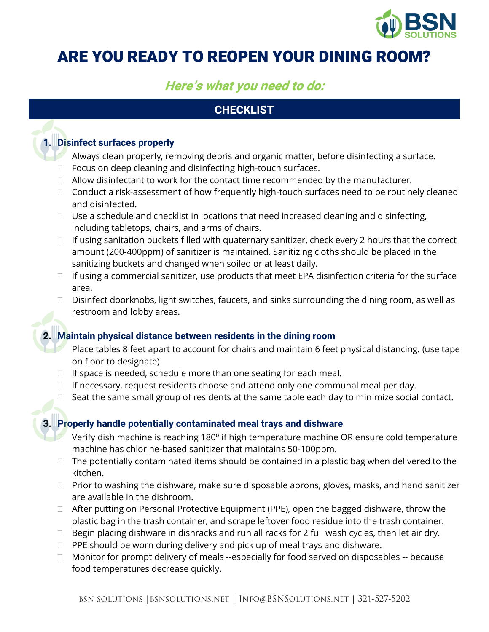

# ARE YOU READY TO REOPEN YOUR DINING ROOM?

## **Here's what you need to do:**

## **CHECKLIST**

#### **1. Disinfect surfaces properly**

- $\Box$  Always clean properly, removing debris and organic matter, before disinfecting a surface.
- $\Box$  Focus on deep cleaning and disinfecting high-touch surfaces.
- $\Box$  Allow disinfectant to work for the contact time recommended by the manufacturer.
- $\Box$  Conduct a risk-assessment of how frequently high-touch surfaces need to be routinely cleaned and disinfected.
- $\Box$  Use a schedule and checklist in locations that need increased cleaning and disinfecting, including tabletops, chairs, and arms of chairs.
- $\Box$  If using sanitation buckets filled with quaternary sanitizer, check every 2 hours that the correct amount (200-400ppm) of sanitizer is maintained. Sanitizing cloths should be placed in the sanitizing buckets and changed when soiled or at least daily.
- $\Box$  If using a commercial sanitizer, use products that meet EPA disinfection criteria for the surface area.
- $\Box$  Disinfect doorknobs, light switches, faucets, and sinks surrounding the dining room, as well as restroom and lobby areas.

#### **2. Maintain physical distance between residents in the dining room**

- **Place tables 8 feet apart to account for chairs and maintain 6 feet physical distancing. (use tape** on floor to designate)
- $\Box$  If space is needed, schedule more than one seating for each meal.
- $\Box$  If necessary, request residents choose and attend only one communal meal per day.
- $\Box$  Seat the same small group of residents at the same table each day to minimize social contact.

#### **3. Properly handle potentially contaminated meal trays and dishware**

- Verify dish machine is reaching 180º if high temperature machine OR ensure cold temperature machine has chlorine-based sanitizer that maintains 50-100ppm.
- $\Box$  The potentially contaminated items should be contained in a plastic bag when delivered to the kitchen.
- $\Box$  Prior to washing the dishware, make sure disposable aprons, gloves, masks, and hand sanitizer are available in the dishroom.
- □ After putting on Personal Protective Equipment (PPE), open the bagged dishware, throw the plastic bag in the trash container, and scrape leftover food residue into the trash container.
- $\Box$  Begin placing dishware in dishracks and run all racks for 2 full wash cycles, then let air dry.
- $\Box$  PPE should be worn during delivery and pick up of meal trays and dishware.
- $\Box$  Monitor for prompt delivery of meals --especially for food served on disposables -- because food temperatures decrease quickly.